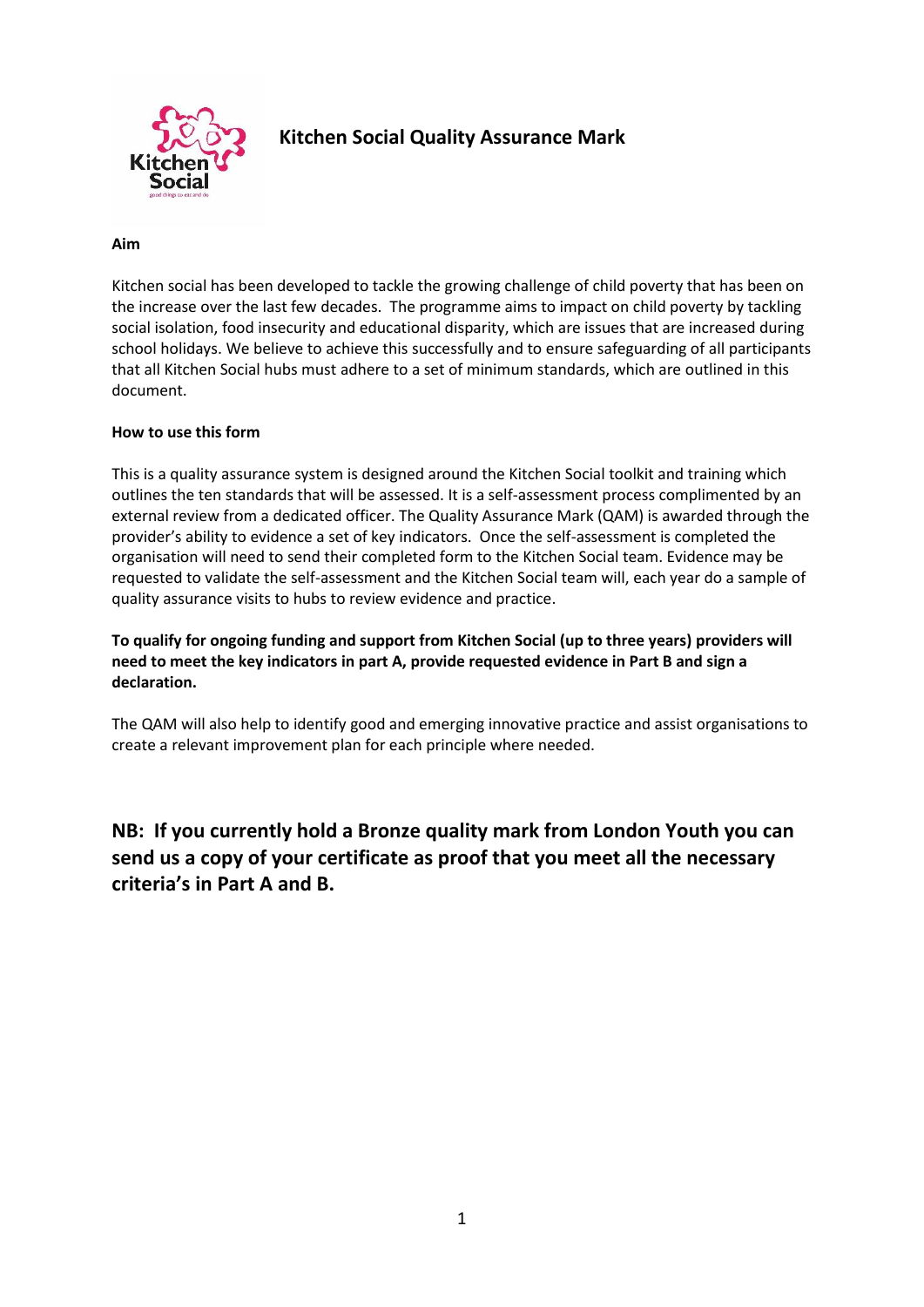

# **Kitchen Social Quality Assurance Mark**

#### **Aim**

Kitchen social has been developed to tackle the growing challenge of child poverty that has been on the increase over the last few decades. The programme aims to impact on child poverty by tackling social isolation, food insecurity and educational disparity, which are issues that are increased during school holidays. We believe to achieve this successfully and to ensure safeguarding of all participants that all Kitchen Social hubs must adhere to a set of minimum standards, which are outlined in this document.

#### **How to use this form**

This is a quality assurance system is designed around the Kitchen Social toolkit and training which outlines the ten standards that will be assessed. It is a self-assessment process complimented by an external review from a dedicated officer. The Quality Assurance Mark (QAM) is awarded through the provider's ability to evidence a set of key indicators. Once the self-assessment is completed the organisation will need to send their completed form to the Kitchen Social team. Evidence may be requested to validate the self-assessment and the Kitchen Social team will, each year do a sample of quality assurance visits to hubs to review evidence and practice.

**To qualify for ongoing funding and support from Kitchen Social (up to three years) providers will need to meet the key indicators in part A, provide requested evidence in Part B and sign a declaration.**

The QAM will also help to identify good and emerging innovative practice and assist organisations to create a relevant improvement plan for each principle where needed.

**NB: If you currently hold a Bronze quality mark from London Youth you can send us a copy of your certificate as proof that you meet all the necessary criteria's in Part A and B.**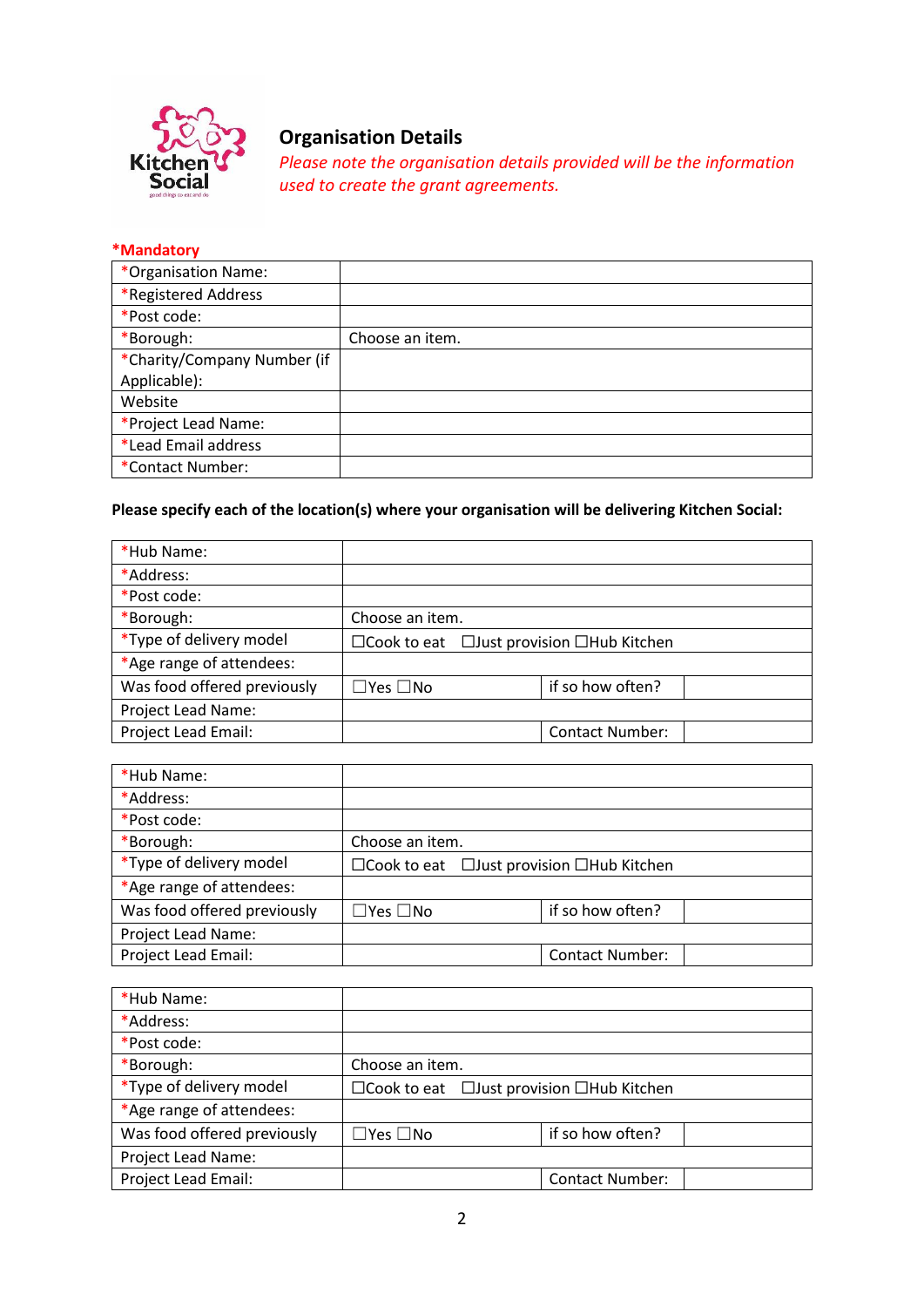

# **Organisation Details**

*Please note the organisation details provided will be the information used to create the grant agreements.*

#### **\*Mandatory**

| *Organisation Name:         |                 |
|-----------------------------|-----------------|
| *Registered Address         |                 |
| *Post code:                 |                 |
| *Borough:                   | Choose an item. |
| *Charity/Company Number (if |                 |
| Applicable):                |                 |
| Website                     |                 |
| *Project Lead Name:         |                 |
| *Lead Email address         |                 |
| *Contact Number:            |                 |

## **Please specify each of the location(s) where your organisation will be delivering Kitchen Social:**

| *Hub Name:                  |                      |                                                             |  |
|-----------------------------|----------------------|-------------------------------------------------------------|--|
| *Address:                   |                      |                                                             |  |
| *Post code:                 |                      |                                                             |  |
| *Borough:                   | Choose an item.      |                                                             |  |
| *Type of delivery model     |                      | $\Box$ Cook to eat $\Box$ Just provision $\Box$ Hub Kitchen |  |
| *Age range of attendees:    |                      |                                                             |  |
| Was food offered previously | $\Box$ Yes $\Box$ No | if so how often?                                            |  |
| Project Lead Name:          |                      |                                                             |  |
| <b>Project Lead Email:</b>  |                      | <b>Contact Number:</b>                                      |  |

| *Hub Name:                  |                                                             |  |                        |  |
|-----------------------------|-------------------------------------------------------------|--|------------------------|--|
| *Address:                   |                                                             |  |                        |  |
| *Post code:                 |                                                             |  |                        |  |
| *Borough:                   | Choose an item.                                             |  |                        |  |
| *Type of delivery model     | $\Box$ Cook to eat $\Box$ Just provision $\Box$ Hub Kitchen |  |                        |  |
| *Age range of attendees:    |                                                             |  |                        |  |
| Was food offered previously | $\Box$ Yes $\Box$ No                                        |  | if so how often?       |  |
| Project Lead Name:          |                                                             |  |                        |  |
| Project Lead Email:         |                                                             |  | <b>Contact Number:</b> |  |

| *Hub Name:                  |                                                             |  |                        |  |
|-----------------------------|-------------------------------------------------------------|--|------------------------|--|
| *Address:                   |                                                             |  |                        |  |
| *Post code:                 |                                                             |  |                        |  |
| *Borough:                   | Choose an item.                                             |  |                        |  |
| *Type of delivery model     | $\Box$ Cook to eat $\Box$ Just provision $\Box$ Hub Kitchen |  |                        |  |
| *Age range of attendees:    |                                                             |  |                        |  |
| Was food offered previously | $\square$ Yes $\square$ No                                  |  | if so how often?       |  |
| Project Lead Name:          |                                                             |  |                        |  |
| Project Lead Email:         |                                                             |  | <b>Contact Number:</b> |  |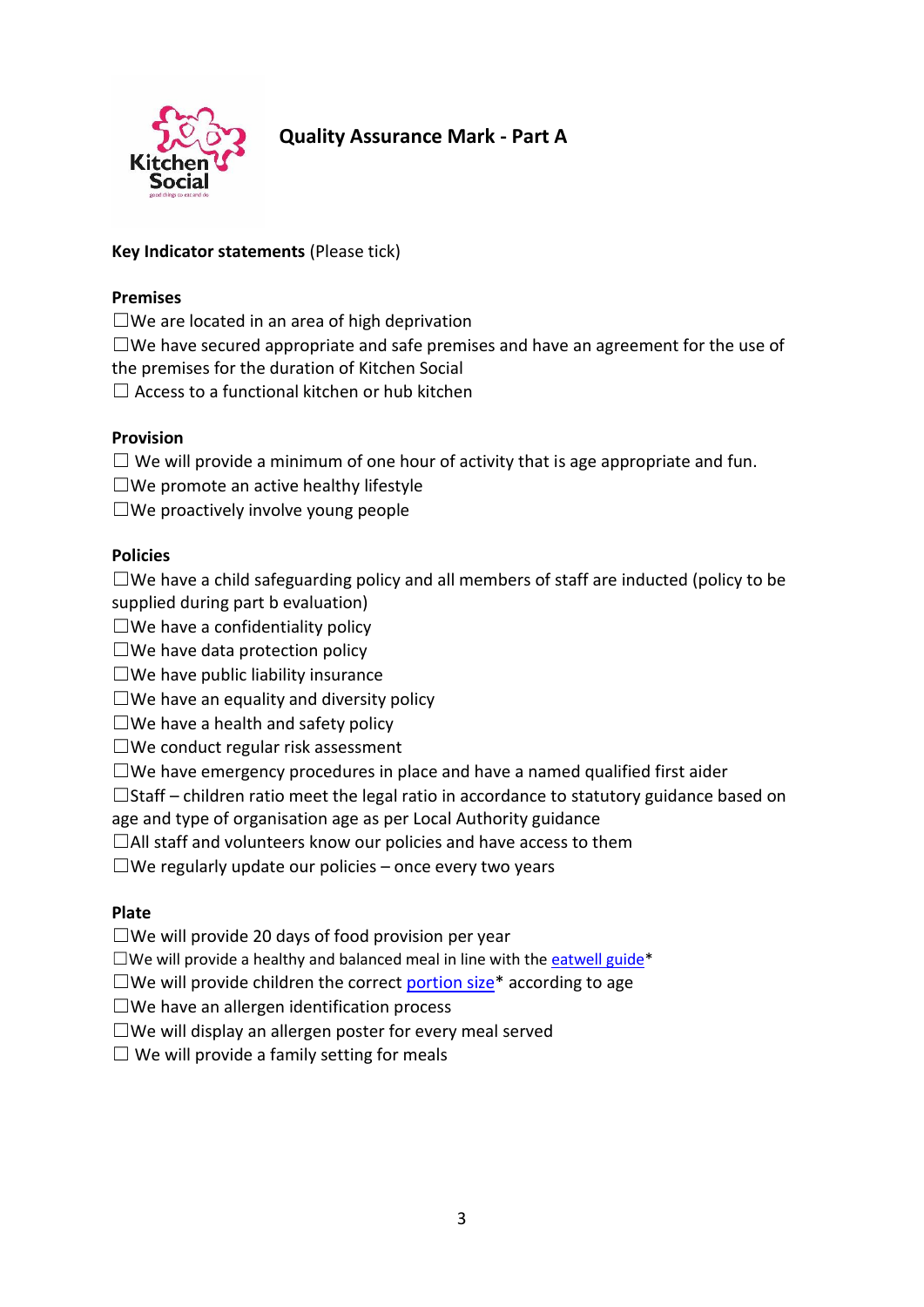

# **Quality Assurance Mark - Part A**

### **Key Indicator statements** (Please tick)

### **Premises**

 $\square$ We are located in an area of high deprivation

 $\square$ We have secured appropriate and safe premises and have an agreement for the use of the premises for the duration of Kitchen Social

 $\Box$  Access to a functional kitchen or hub kitchen

### **Provision**

 $\Box$  We will provide a minimum of one hour of activity that is age appropriate and fun.

 $\Box$ We promote an active healthy lifestyle

 $\Box$ We proactively involve young people

### **Policies**

 $\square$ We have a child safeguarding policy and all members of staff are inducted (policy to be supplied during part b evaluation)

- $\square$  We have a confidentiality policy
- $\square$ We have data protection policy
- $\square$ We have public liability insurance
- $\square$  We have an equality and diversity policy
- $\Box$  We have a health and safety policy
- $\square$ We conduct regular risk assessment
- $\square$ We have emergency procedures in place and have a named qualified first aider
- $\Box$ Staff children ratio meet the legal ratio in accordance to statutory guidance based on
- age and type of organisation age as per Local Authority guidance
- $\Box$ All staff and volunteers know our policies and have access to them

 $\Box$ We regularly update our policies – once every two years

### **Plate**

 $\Box$ We will provide 20 days of food provision per year

 $\square$ We will provide a healthy and balanced meal in line with the [eatwell guide\\*](https://www.gov.uk/government/uploads/system/uploads/attachment_data/file/528193/Eatwell_guide_colour.pdf)

- $\square$ We will provide children the correct [portion size\\*](http://www.firststepsnutrition.org/pdfs/what_is_a_child_sized_portion.pdf) according to age
- $\square$ We have an allergen identification process
- $\square$ We will display an allergen poster for every meal served
- $\Box$  We will provide a family setting for meals